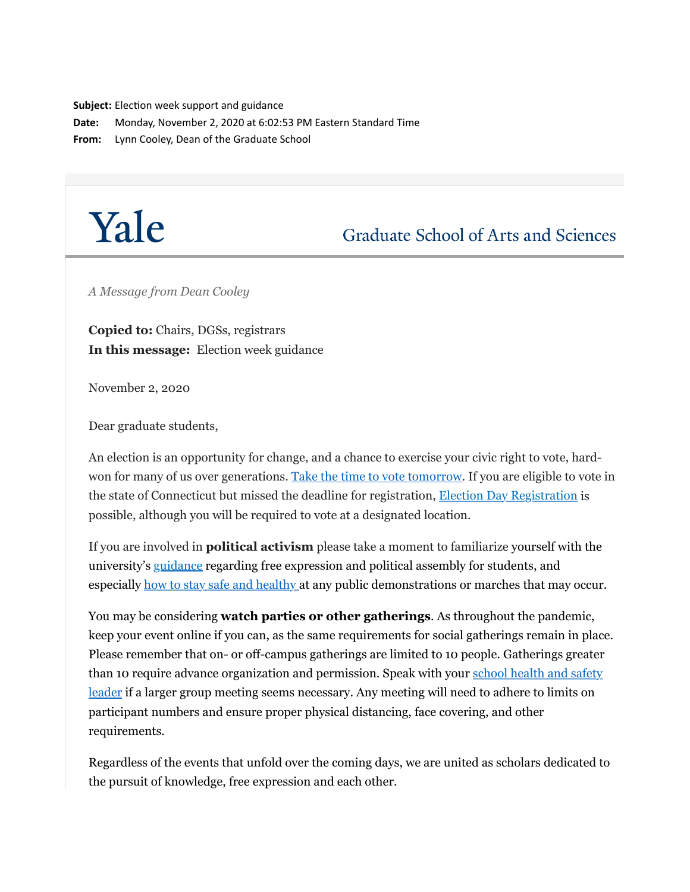**Subject:** Election week support and guidance

**Date:** Monday, November 2, 2020 at 6:02:53 PM Eastern Standard Time

**From:** Lynn Cooley, Dean of the Graduate School

# Yale

## **Graduate School of Arts and Sciences**

*A Message from Dean Cooley*

**Copied to:** Chairs, DGSs, registrars **In this message:** Election week guidance

November 2, 2020

Dear graduate students,

An election is an opportunity for change, and a chance to exercise your civic right to vote, hardwon for many of us over generations. [Take the time to vote tomorrow](http://click.message.yale.edu/?qs=f20b9eac742ac2c57f7f27462d3db25878b52ef2cea4cf31888b508e901a1ce3a2bc26bfc8fef44c90bc56ea12ae8227708d9162444c47eb). If you are eligible to vote in the state of Connecticut but missed the deadline for registration, [Election Day Registration](http://click.message.yale.edu/?qs=f20b9eac742ac2c5e792fcbbe26d5eb42e0e334db0c2dcfab3db8367e91c5482b7eca9e143bf3f6b94252aec8660ce80ec2eb4721c70f60e) is possible, although you will be required to vote at a designated location.

If you are involved in **political activism** please take a moment to familiarize yourself with the university's [guidance](http://click.message.yale.edu/?qs=c459c631e8af361b91ba532e71d2a275da7f4d74c2f68e0ccdd79385983dd04a200b74d4d43700a9153d113ab0f412f21bf1e00142305a12) regarding free expression and political assembly for students, and especially [how to stay safe and healthy a](http://click.message.yale.edu/?qs=c459c631e8af361b5ab1b8464aff7b8eb0620527fb6143e834e8bdc6a58f43478998744d4ad0513606266449e9f1bc7c9a360ff3fb8077a2)t any public demonstrations or marches that may occur.

You may be considering **watch parties or other gatherings**. As throughout the pandemic, keep your event online if you can, as the same requirements for social gatherings remain in place. Please remember that on- or off-campus gatherings are limited to 10 people. Gatherings greater [than 10 require advance organization and permission. Speak with your school health and safety](http://click.message.yale.edu/?qs=c459c631e8af361bf9dd639c58c830d1a5e2970ff360c8bfb81afb4008f9ec1d33fdf98fa47cc96cd5bfa1f6bd8c90843511cc94829bf532) leader if a larger group meeting seems necessary. Any meeting will need to adhere to limits on participant numbers and ensure proper physical distancing, face covering, and other requirements.

Regardless of the events that unfold over the coming days, we are united as scholars dedicated to the pursuit of knowledge, free expression and each other.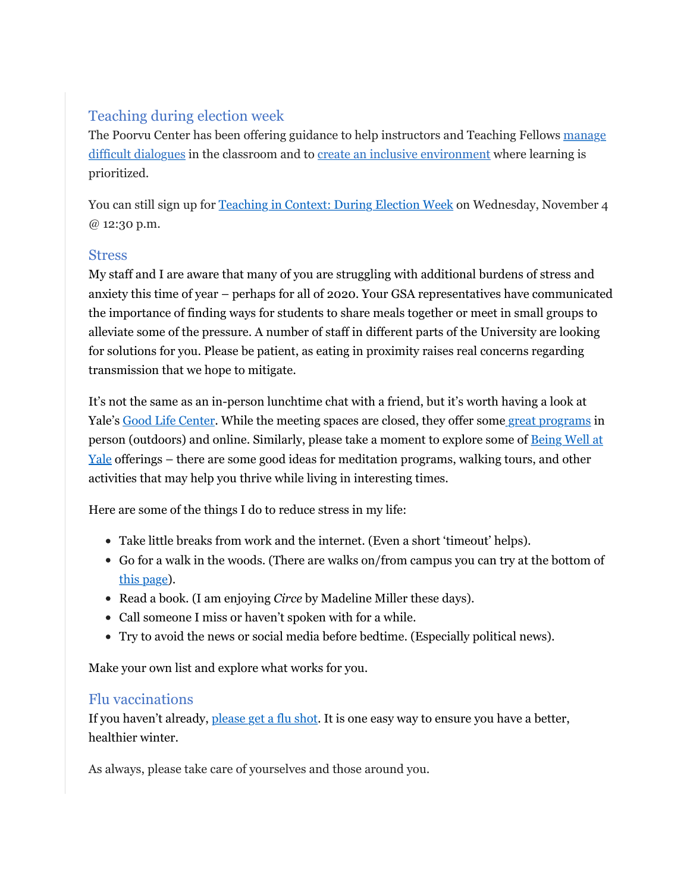### Teaching during election week

[The Poorvu Center has been offering guidance to help instructors and Teaching Fellows manage](http://click.message.yale.edu/?qs=c459c631e8af361b0461c2e4089229419d48650d4362c567ce645d21fc4b5fb4e0fd3db0e56b56162c1cb1ce73cee76fe506a01e59f00d38) difficult dialogues in the classroom and to [create an inclusive environment](http://click.message.yale.edu/?qs=c459c631e8af361bf549e7dae33440488baef97efdfc9e78be5e47e5ee0629f58e44669fd287d0ed86bb09b3a23432bdadda50a86b9d2074) where learning is prioritized.

You can still sign up for [Teaching in Context: During Election Week](http://click.message.yale.edu/?qs=c459c631e8af361b740e1a26bded27c1404e8ad318c68760118221521c43b189698d7dff46b0e11e2928d2f8f2bdcb04b835729faceff93f) on Wednesday, November 4 @ 12:30 p.m.

#### **Stress**

My staff and I are aware that many of you are struggling with additional burdens of stress and anxiety this time of year – perhaps for all of 2020. Your GSA representatives have communicated the importance of finding ways for students to share meals together or meet in small groups to alleviate some of the pressure. A number of staff in different parts of the University are looking for solutions for you. Please be patient, as eating in proximity raises real concerns regarding transmission that we hope to mitigate.

It's not the same as an in-person lunchtime chat with a friend, but it's worth having a look at Yale's [Good Life Center.](http://click.message.yale.edu/?qs=f8b664cd0cff85df9be164b8bb3fc5215ba0e48dfad6806104beaa898dddf351c5252b9f2b9acd6e2b62fdc915e8b755fc985d6132143435) While the meeting spaces are closed, they offer some [great programs](http://click.message.yale.edu/?qs=f8b664cd0cff85df1a2c74f85d55f14e028ab6c4a89be4cbcb5ce0dbeb47e554ee48efeaf8f0ae535b231ea9bd58a1a4373218ae8c6ccbea) in person (outdoors) and online. Similarly, please take a moment to explore some of **Being Well at** Yale offerings – there are some good ideas for meditation programs, walking tours, and other activities that may help you thrive while living in interesting times.

Here are some of the things I do to reduce stress in my life:

- Take little breaks from work and the internet. (Even a short 'timeout' helps).
- Go for a walk in the woods. (There are walks on/from campus you can try at the bottom of [this page\)](http://click.message.yale.edu/?qs=f8b664cd0cff85dfb82f2567873f502f6cec6d5f2bb12032292b7589253b2090ca8db551c44139c8485379239738d20b51ada77e29f5e811).
- Read a book. (I am enjoying *Circe* by Madeline Miller these days).
- Call someone I miss or haven't spoken with for a while.
- Try to avoid the news or social media before bedtime. (Especially political news).

Make your own list and explore what works for you.

#### Flu vaccinations

If you haven't already, [please get a flu shot.](http://click.message.yale.edu/?qs=f8b664cd0cff85df6eca4a26f29ebcdd09e57e232048f166fdaabc68e983b0a0372b11c9807065f4446b8be83b51cefce36d5914719ae0f7) It is one easy way to ensure you have a better, healthier winter.

As always, please take care of yourselves and those around you.